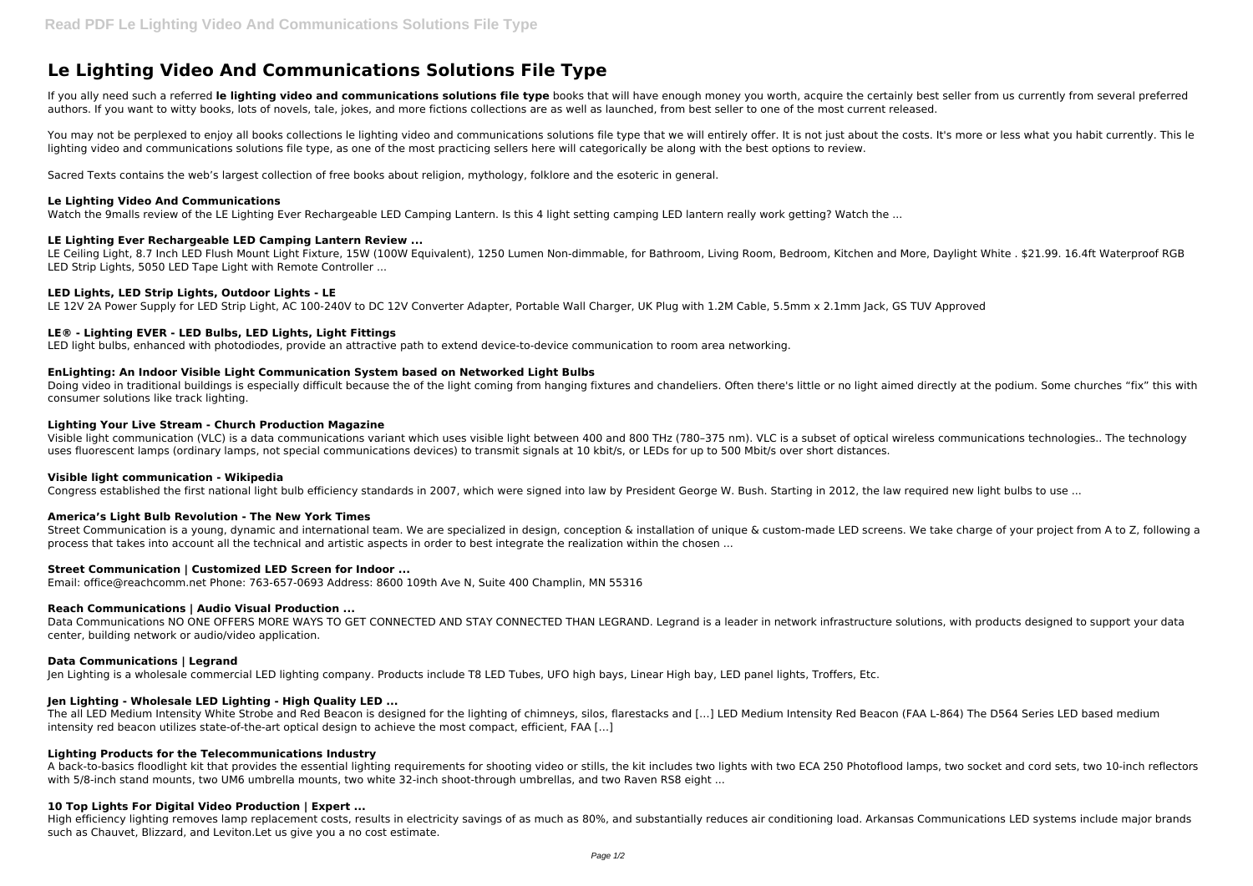# **Le Lighting Video And Communications Solutions File Type**

If you ally need such a referred le lighting video and communications solutions file type books that will have enough money you worth, acquire the certainly best seller from us currently from several preferred authors. If you want to witty books, lots of novels, tale, jokes, and more fictions collections are as well as launched, from best seller to one of the most current released.

You may not be perplexed to enjoy all books collections le lighting video and communications solutions file type that we will entirely offer. It is not just about the costs, It's more or less what you habit currently. This lighting video and communications solutions file type, as one of the most practicing sellers here will categorically be along with the best options to review.

LE Ceiling Light, 8.7 Inch LED Flush Mount Light Fixture, 15W (100W Equivalent), 1250 Lumen Non-dimmable, for Bathroom, Living Room, Bedroom, Kitchen and More, Daylight White . \$21.99. 16.4ft Waterproof RGB LED Strip Lights, 5050 LED Tape Light with Remote Controller ...

Sacred Texts contains the web's largest collection of free books about religion, mythology, folklore and the esoteric in general.

#### **Le Lighting Video And Communications**

Watch the 9malls review of the LE Lighting Ever Rechargeable LED Camping Lantern. Is this 4 light setting camping LED lantern really work getting? Watch the ...

Doing video in traditional buildings is especially difficult because the of the light coming from hanging fixtures and chandeliers. Often there's little or no light aimed directly at the podium. Some churches "fix" this wi consumer solutions like track lighting.

## **LE Lighting Ever Rechargeable LED Camping Lantern Review ...**

## **LED Lights, LED Strip Lights, Outdoor Lights - LE**

LE 12V 2A Power Supply for LED Strip Light, AC 100-240V to DC 12V Converter Adapter, Portable Wall Charger, UK Plug with 1.2M Cable, 5.5mm x 2.1mm Jack, GS TUV Approved

Street Communication is a young, dynamic and international team. We are specialized in design, conception & installation of unique & custom-made LED screens. We take charge of your project from A to Z, following a process that takes into account all the technical and artistic aspects in order to best integrate the realization within the chosen ...

## **LE® - Lighting EVER - LED Bulbs, LED Lights, Light Fittings**

LED light bulbs, enhanced with photodiodes, provide an attractive path to extend device-to-device communication to room area networking.

Data Communications NO ONE OFFERS MORE WAYS TO GET CONNECTED AND STAY CONNECTED THAN LEGRAND. Legrand is a leader in network infrastructure solutions, with products designed to support your data center, building network or audio/video application.

## **EnLighting: An Indoor Visible Light Communication System based on Networked Light Bulbs**

A back-to-basics floodlight kit that provides the essential lighting requirements for shooting video or stills, the kit includes two lights with two ECA 250 Photoflood lamps, two socket and cord sets, two 10-inch reflectors with 5/8-inch stand mounts, two UM6 umbrella mounts, two white 32-inch shoot-through umbrellas, and two Raven RS8 eight ...

## **Lighting Your Live Stream - Church Production Magazine**

Visible light communication (VLC) is a data communications variant which uses visible light between 400 and 800 THz (780–375 nm). VLC is a subset of optical wireless communications technologies.. The technology uses fluorescent lamps (ordinary lamps, not special communications devices) to transmit signals at 10 kbit/s, or LEDs for up to 500 Mbit/s over short distances.

#### **Visible light communication - Wikipedia**

Congress established the first national light bulb efficiency standards in 2007, which were signed into law by President George W. Bush. Starting in 2012, the law required new light bulbs to use ...

## **America's Light Bulb Revolution - The New York Times**

## **Street Communication | Customized LED Screen for Indoor ...**

Email: office@reachcomm.net Phone: 763-657-0693 Address: 8600 109th Ave N, Suite 400 Champlin, MN 55316

## **Reach Communications | Audio Visual Production ...**

#### **Data Communications | Legrand**

Jen Lighting is a wholesale commercial LED lighting company. Products include T8 LED Tubes, UFO high bays, Linear High bay, LED panel lights, Troffers, Etc.

## **Jen Lighting - Wholesale LED Lighting - High Quality LED ...**

The all LED Medium Intensity White Strobe and Red Beacon is designed for the lighting of chimneys, silos, flarestacks and […] LED Medium Intensity Red Beacon (FAA L-864) The D564 Series LED based medium intensity red beacon utilizes state-of-the-art optical design to achieve the most compact, efficient, FAA […]

## **Lighting Products for the Telecommunications Industry**

## **10 Top Lights For Digital Video Production | Expert ...**

High efficiency lighting removes lamp replacement costs, results in electricity savings of as much as 80%, and substantially reduces air conditioning load. Arkansas Communications LED systems include major brands such as Chauvet, Blizzard, and Leviton.Let us give you a no cost estimate.